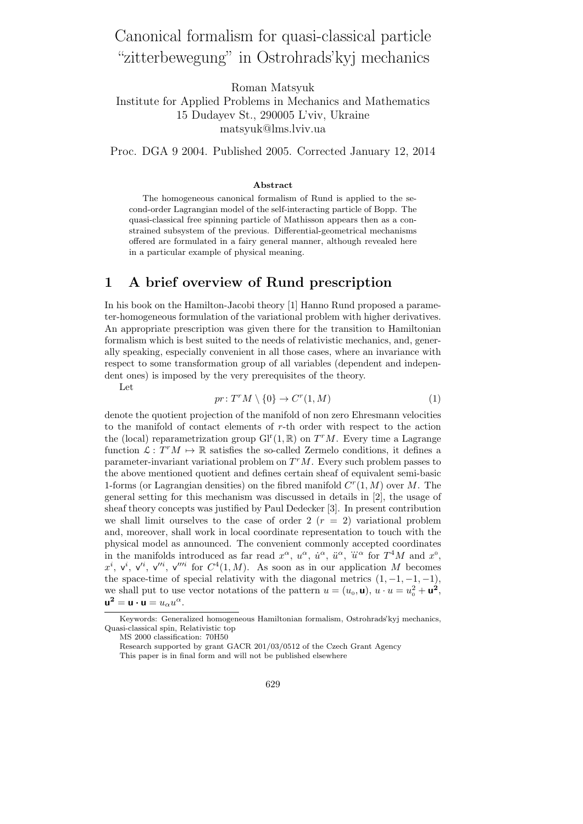# Canonical formalism for quasi-classical particle "zitterbewegung" in Ostrohrads'kyj mechanics

Roman Matsyuk

Institute for Applied Problems in Mechanics and Mathematics 15 Dudayev St., 290005 L'viv, Ukraine matsyuk@lms.lviv.ua

Proc. DGA 9 2004. Published 2005. Corrected January 12, 2014

#### Abstract

The homogeneous canonical formalism of Rund is applied to the second-order Lagrangian model of the self-interacting particle of Bopp. The quasi-classical free spinning particle of Mathisson appears then as a constrained subsystem of the previous. Differential-geometrical mechanisms offered are formulated in a fairy general manner, although revealed here in a particular example of physical meaning.

#### 1 A brief overview of Rund prescription

In his book on the Hamilton-Jacobi theory [1] Hanno Rund proposed a parameter-homogeneous formulation of the variational problem with higher derivatives. An appropriate prescription was given there for the transition to Hamiltonian formalism which is best suited to the needs of relativistic mechanics, and, generally speaking, especially convenient in all those cases, where an invariance with respect to some transformation group of all variables (dependent and independent ones) is imposed by the very prerequisites of the theory.

Let

$$
pr: T^r M \setminus \{0\} \to C^r(1, M) \tag{1}
$$

denote the quotient projection of the manifold of non zero Ehresmann velocities to the manifold of contact elements of r-th order with respect to the action the (local) reparametrization group  $\mathrm{GI}^r(1,\mathbb{R})$  on  $T^rM$ . Every time a Lagrange function  $\mathcal{L}: T^{r}M \mapsto \mathbb{R}$  satisfies the so-called Zermelo conditions, it defines a parameter-invariant variational problem on  $T^{r}M$ . Every such problem passes to the above mentioned quotient and defines certain sheaf of equivalent semi-basic 1-forms (or Lagrangian densities) on the fibred manifold  $C<sup>r</sup>(1, M)$  over M. The general setting for this mechanism was discussed in details in [2], the usage of sheaf theory concepts was justified by Paul Dedecker [3]. In present contribution we shall limit ourselves to the case of order 2  $(r = 2)$  variational problem and, moreover, shall work in local coordinate representation to touch with the physical model as announced. The convenient commonly accepted coordinates buysical model as almoduced. The convenient commonly accepted coordinates<br>in the manifolds introduced as far read  $x^{\alpha}$ ,  $u^{\alpha}$ ,  $\ddot{u}^{\alpha}$ ,  $\dddot{u}^{\alpha}$ ,  $\dddot{u}^{\alpha}$  for  $T^4M$  and  $x^0$ ,  $x^{i}$ ,  $v^{i}$ ,  $v^{\prime\prime i}$ ,  $v^{\prime\prime\prime i}$  for  $C^{4}(1,M)$ . As soon as in our application M becomes the space-time of special relativity with the diagonal metrics  $(1, -1, -1, -1)$ , we shall put to use vector notations of the pattern  $u = (u_0, \mathbf{u}), u \cdot u = u_0^2 + \mathbf{u}^2$ ,  $\mathbf{u}^2 = \mathbf{u} \cdot \mathbf{u} = u_\alpha u^\alpha.$ 

MS 2000 classification: 70H50

Research supported by grant GACR 201/03/0512 of the Czech Grant Agency This paper is in final form and will not be published elsewhere

Keywords: Generalized homogeneous Hamiltonian formalism, Ostrohrads'kyj mechanics, Quasi-classical spin, Relativistic top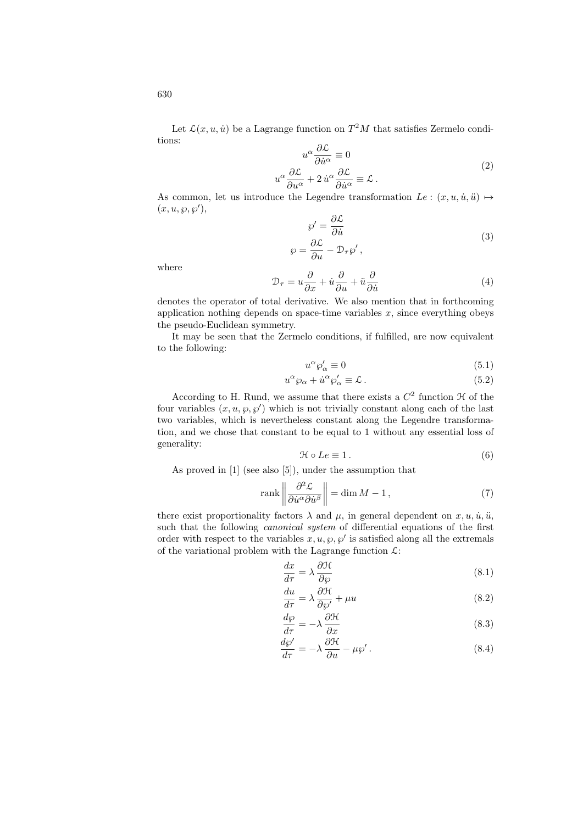$$
u^{\alpha} \frac{\partial \mathcal{L}}{\partial \dot{u}^{\alpha}} \equiv 0
$$
  

$$
u^{\alpha} \frac{\partial \mathcal{L}}{\partial u^{\alpha}} + 2 \dot{u}^{\alpha} \frac{\partial \mathcal{L}}{\partial \dot{u}^{\alpha}} \equiv \mathcal{L}.
$$
 (2)

As common, let us introduce the Legendre transformation  $Le : (x, u, \dot{u}, \ddot{u}) \mapsto$  $(x, u, \wp, \wp'),$  $\triangle$   $\triangle$ 

$$
\wp' = \frac{\partial \mathcal{L}}{\partial \dot{u}} \n\wp = \frac{\partial \mathcal{L}}{\partial u} - \mathcal{D}_{\tau} \wp',
$$
\n(3)

where

$$
\mathcal{D}_{\tau} = u \frac{\partial}{\partial x} + \dot{u} \frac{\partial}{\partial u} + \ddot{u} \frac{\partial}{\partial \dot{u}} \tag{4}
$$

denotes the operator of total derivative. We also mention that in forthcoming application nothing depends on space-time variables  $x$ , since everything obeys the pseudo-Euclidean symmetry.

It may be seen that the Zermelo conditions, if fulfilled, are now equivalent to the following:

$$
u^{\alpha}\wp'_{\alpha} \equiv 0 \tag{5.1}
$$

$$
u^{\alpha}\wp_{\alpha} + \dot{u}^{\alpha}\wp'_{\alpha} \equiv \mathcal{L} \,. \tag{5.2}
$$

According to H. Rund, we assume that there exists a  $C<sup>2</sup>$  function  $\mathcal H$  of the four variables  $(x, u, \varphi, \varphi')$  which is not trivially constant along each of the last two variables, which is nevertheless constant along the Legendre transformation, and we chose that constant to be equal to 1 without any essential loss of generality:

$$
\mathcal{H} \circ Le \equiv 1. \tag{6}
$$

As proved in [1] (see also [5]), under the assumption that

$$
\text{rank}\left\|\frac{\partial^2 \mathcal{L}}{\partial \dot{u}^\alpha \partial \dot{u}^\beta}\right\| = \dim M - 1,\tag{7}
$$

there exist proportionality factors  $\lambda$  and  $\mu$ , in general dependent on  $x, u, \dot{u}, \ddot{u}$ , such that the following *canonical system* of differential equations of the first order with respect to the variables  $x, u, \varphi, \varphi'$  is satisfied along all the extremals of the variational problem with the Lagrange function  $\mathcal{L}$ :

$$
\frac{dx}{d\tau} = \lambda \frac{\partial \mathcal{H}}{\partial \varphi} \tag{8.1}
$$

$$
\frac{du}{d\tau} = \lambda \frac{\partial \mathcal{H}}{\partial \varphi'} + \mu u \tag{8.2}
$$

$$
\frac{d\wp}{d\tau} = -\lambda \frac{\partial \mathcal{H}}{\partial x} \tag{8.3}
$$

$$
\frac{d\wp'}{d\tau} = -\lambda \frac{\partial \mathcal{H}}{\partial u} - \mu \wp'.\tag{8.4}
$$

630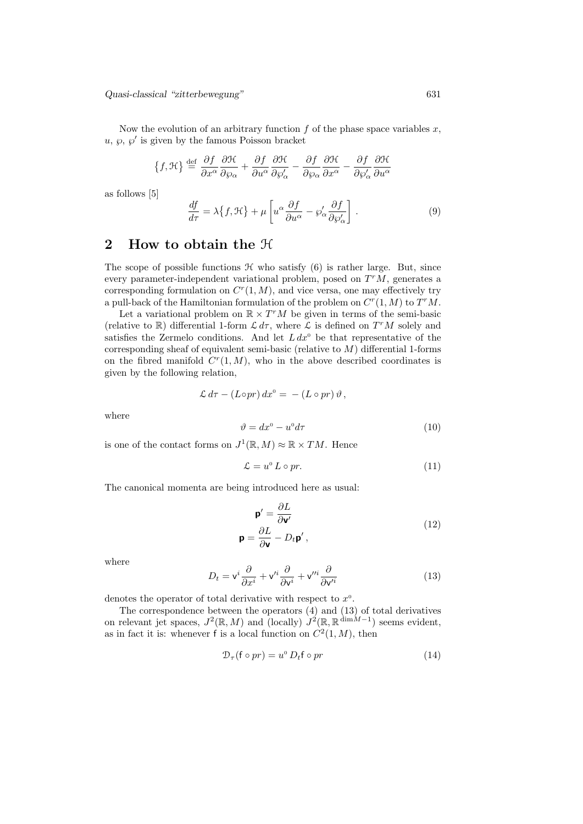Quasi-classical "zitterbewegung" 631

Now the evolution of an arbitrary function  $f$  of the phase space variables  $x$ ,  $u, \varphi, \varphi'$  is given by the famous Poisson bracket

$$
\{f,\mathcal{H}\}\stackrel{\text{def}}{=}\frac{\partial f}{\partial x^{\alpha}}\frac{\partial \mathcal{H}}{\partial \varphi_{\alpha}}+\frac{\partial f}{\partial u^{\alpha}}\frac{\partial \mathcal{H}}{\partial \varphi'_{\alpha}}-\frac{\partial f}{\partial \varphi_{\alpha}}\frac{\partial \mathcal{H}}{\partial x^{\alpha}}-\frac{\partial f}{\partial \varphi'_{\alpha}}\frac{\partial \mathcal{H}}{\partial u^{\alpha}}
$$

as follows [5]

$$
\frac{df}{d\tau} = \lambda \{f, \mathcal{H}\} + \mu \left[ u^{\alpha} \frac{\partial f}{\partial u^{\alpha}} - \wp'_{\alpha} \frac{\partial f}{\partial \wp'_{\alpha}} \right].
$$
\n(9)

### 2 How to obtain the H

The scope of possible functions  $H$  who satisfy  $(6)$  is rather large. But, since every parameter-independent variational problem, posed on  $T^{r}M$ , generates a corresponding formulation on  $C<sup>r</sup>(1, M)$ , and vice versa, one may effectively try a pull-back of the Hamiltonian formulation of the problem on  $C^r(1, M)$  to  $T^rM$ .

Let a variational problem on  $\mathbb{R} \times T^{r}M$  be given in terms of the semi-basic (relative to  $\mathbb R$ ) differential 1-form  $\mathcal L d\tau$ , where  $\mathcal L$  is defined on  $T^rM$  solely and satisfies the Zermelo conditions. And let  $L dx^{\circ}$  be that representative of the corresponding sheaf of equivalent semi-basic (relative to  $M$ ) differential 1-forms on the fibred manifold  $C<sup>r</sup>(1, M)$ , who in the above described coordinates is given by the following relation,

$$
\mathcal{L} d\tau - (L \circ pr) dx^0 = - (L \circ pr) \vartheta,
$$

where

$$
\vartheta = dx^{\circ} - u^{\circ} d\tau \tag{10}
$$

is one of the contact forms on  $J^1(\mathbb{R}, M) \approx \mathbb{R} \times TM$ . Hence

$$
\mathcal{L} = u^{\circ} L \circ pr. \tag{11}
$$

The canonical momenta are being introduced here as usual:

$$
\mathbf{p}' = \frac{\partial L}{\partial \mathbf{v}'}
$$
  

$$
\mathbf{p} = \frac{\partial L}{\partial \mathbf{v}} - D_t \mathbf{p}',
$$
 (12)

where

$$
D_t = \mathsf{v}^i \frac{\partial}{\partial x^i} + \mathsf{v}'^i \frac{\partial}{\partial \mathsf{v}^i} + \mathsf{v}'^i \frac{\partial}{\partial \mathsf{v}'^i}
$$
(13)

denotes the operator of total derivative with respect to  $x^0$ .

The correspondence between the operators (4) and (13) of total derivatives on relevant jet spaces,  $J^2(\mathbb{R}, M)$  and (locally)  $J^2(\mathbb{R}, \mathbb{R}^{\dim M-1})$  seems evident, as in fact it is: whenever f is a local function on  $C^2(1,M)$ , then

$$
\mathcal{D}_{\tau}(\mathbf{f} \circ pr) = u^{\circ} D_{t} \mathbf{f} \circ pr \tag{14}
$$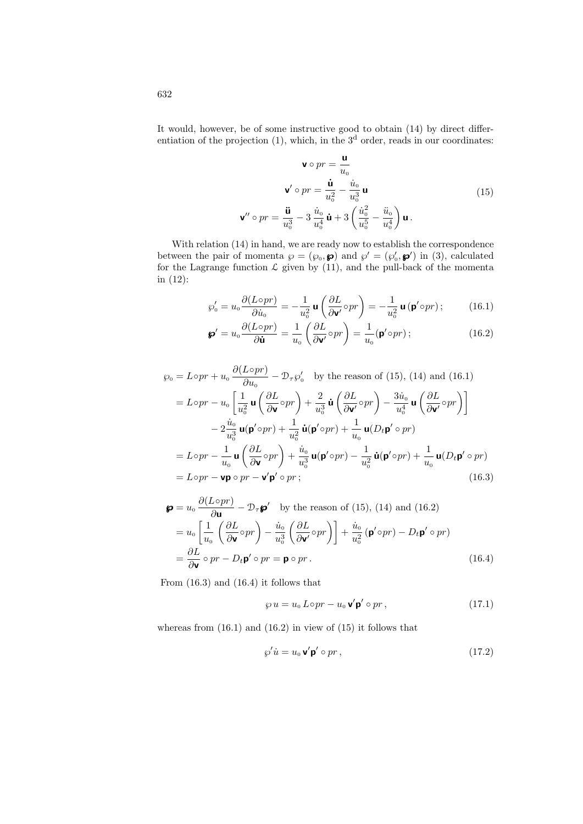It would, however, be of some instructive good to obtain (14) by direct differentiation of the projection  $(1)$ , which, in the  $3<sup>d</sup>$  order, reads in our coordinates:

$$
\mathbf{v} \circ pr = \frac{\mathbf{u}}{u_0}
$$

$$
\mathbf{v}' \circ pr = \frac{\dot{\mathbf{u}}}{u_0^2} - \frac{\dot{u}_0}{u_0^3} \mathbf{u}
$$

$$
\mathbf{v}'' \circ pr = \frac{\ddot{\mathbf{u}}}{u_0^3} - 3 \frac{\dot{u}_0}{u_0^4} \dot{\mathbf{u}} + 3 \left( \frac{\dot{u}_0^2}{u_0^5} - \frac{\ddot{u}_0}{u_0^4} \right) \mathbf{u}.
$$
(15)

With relation  $(14)$  in hand, we are ready now to establish the correspondence between the pair of momenta  $\wp = (\wp_0, \mathbf{\varphi})$  and  $\wp' = (\wp'_0, \mathbf{\varphi}')$  in (3), calculated for the Lagrange function  $\mathcal L$  given by (11), and the pull-back of the momenta in (12):

$$
\wp_0' = u_0 \frac{\partial (L \circ pr)}{\partial \dot{u}_0} = -\frac{1}{u_0^2} \mathbf{u} \left( \frac{\partial L}{\partial \mathbf{v}'} \circ pr \right) = -\frac{1}{u_0^2} \mathbf{u} \left( \mathbf{p}' \circ pr \right); \tag{16.1}
$$

$$
\mathbf{\wp}' = u_0 \frac{\partial (L \circ pr)}{\partial \dot{\mathbf{u}}} = \frac{1}{u_0} \left( \frac{\partial L}{\partial \mathbf{v}'} \circ pr \right) = \frac{1}{u_0} (\mathbf{p}' \circ pr) ; \qquad (16.2)
$$

$$
\wp_{0} = L \circ pr + u_{0} \frac{\partial (L \circ pr)}{\partial u_{0}} - \mathcal{D}_{\tau} \wp'_{0} \quad \text{by the reason of (15), (14) and (16.1)}
$$
\n
$$
= L \circ pr - u_{0} \left[ \frac{1}{u_{0}^{2}} \mathbf{u} \left( \frac{\partial L}{\partial \mathbf{v}} \circ pr \right) + \frac{2}{u_{0}^{3}} \mathbf{u} \left( \frac{\partial L}{\partial \mathbf{v}} \circ pr \right) - \frac{3\dot{u}_{0}}{u_{0}^{4}} \mathbf{u} \left( \frac{\partial L}{\partial \mathbf{v}} \circ pr \right) \right]
$$
\n
$$
- 2 \frac{\dot{u}_{0}}{u_{0}^{3}} \mathbf{u} (\mathbf{p}' \circ pr) + \frac{1}{u_{0}^{2}} \mathbf{u} (\mathbf{p}' \circ pr) + \frac{1}{u_{0}} \mathbf{u} (D_{t} \mathbf{p}' \circ pr)
$$
\n
$$
= L \circ pr - \frac{1}{u_{0}} \mathbf{u} \left( \frac{\partial L}{\partial \mathbf{v}} \circ pr \right) + \frac{\dot{u}_{0}}{u_{0}^{3}} \mathbf{u} (\mathbf{p}' \circ pr) - \frac{1}{u_{0}^{2}} \mathbf{u} (\mathbf{p}' \circ pr) + \frac{1}{u_{0}} \mathbf{u} (D_{t} \mathbf{p}' \circ pr)
$$
\n
$$
= L \circ pr - \mathbf{v} \mathbf{p} \circ pr - \mathbf{v}' \mathbf{p}' \circ pr ; \tag{16.3}
$$

$$
\mathbf{\wp} = u_0 \frac{\partial (L \circ pr)}{\partial \mathbf{u}} - \mathcal{D}_{\tau} \mathbf{\wp}' \quad \text{by the reason of (15), (14) and (16.2)}
$$
\n
$$
= u_0 \left[ \frac{1}{u_0} \left( \frac{\partial L}{\partial \mathbf{v}} \circ pr \right) - \frac{\dot{u}_0}{u_0^3} \left( \frac{\partial L}{\partial \mathbf{v}'} \circ pr \right) \right] + \frac{\dot{u}_0}{u_0^2} \left( \mathbf{p}' \circ pr \right) - D_t \mathbf{p}' \circ pr
$$
\n
$$
= \frac{\partial L}{\partial \mathbf{v}} \circ pr - D_t \mathbf{p}' \circ pr = \mathbf{p} \circ pr. \tag{16.4}
$$

From (16.3) and (16.4) it follows that

$$
\wp u = u_0 \, \text{L} \circ pr - u_0 \, \mathbf{v}' \mathbf{p}' \circ pr \,, \tag{17.1}
$$

whereas from  $(16.1)$  and  $(16.2)$  in view of  $(15)$  it follows that

$$
\wp'\dot{u} = u_0 \mathbf{v}' \mathbf{p}' \circ pr \,,\tag{17.2}
$$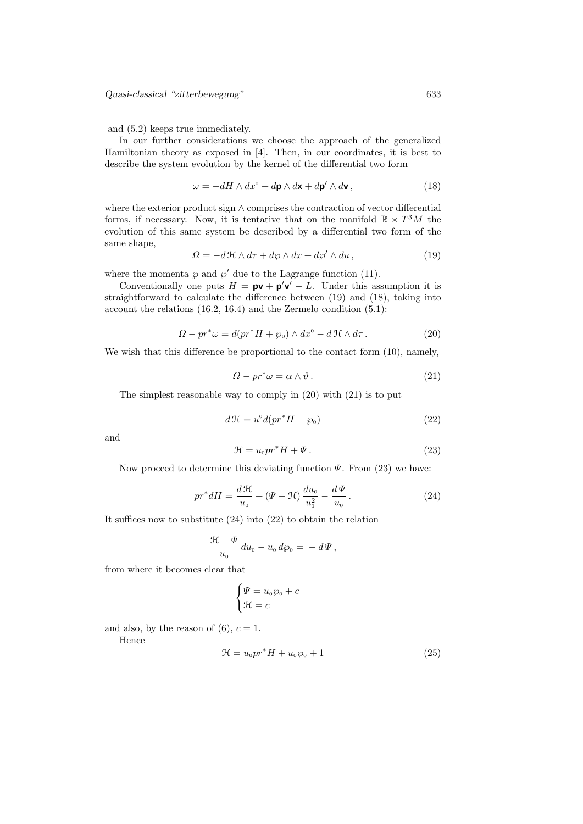Quasi-classical "zitterbewegung" 633

and (5.2) keeps true immediately.

In our further considerations we choose the approach of the generalized Hamiltonian theory as exposed in [4]. Then, in our coordinates, it is best to describe the system evolution by the kernel of the differential two form

$$
\omega = -dH \wedge dx^0 + d\mathbf{p} \wedge d\mathbf{x} + d\mathbf{p}' \wedge d\mathbf{v},\tag{18}
$$

where the exterior product sign ∧ comprises the contraction of vector differential forms, if necessary. Now, it is tentative that on the manifold  $\mathbb{R} \times T^3M$  the evolution of this same system be described by a differential two form of the same shape,

$$
\Omega = -d\mathcal{H} \wedge d\tau + d\wp \wedge dx + d\wp' \wedge du, \qquad (19)
$$

where the momenta  $\wp$  and  $\wp'$  due to the Lagrange function (11).

Conventionally one puts  $H = \mathbf{pv} + \mathbf{p}'\mathbf{v}' - L$ . Under this assumption it is straightforward to calculate the difference between (19) and (18), taking into account the relations (16.2, 16.4) and the Zermelo condition (5.1):

$$
\Omega - pr^* \omega = d(pr^*H + \wp_0) \wedge dx^0 - d\mathcal{H} \wedge d\tau. \tag{20}
$$

We wish that this difference be proportional to the contact form (10), namely,

$$
\Omega - pr^* \omega = \alpha \wedge \vartheta \,. \tag{21}
$$

The simplest reasonable way to comply in (20) with (21) is to put

$$
d\mathcal{H} = u^0 d(pr^*H + \wp_0)
$$
\n(22)

and

$$
\mathcal{H} = u_0 p r^* H + \Psi. \tag{23}
$$

Now proceed to determine this deviating function  $\Psi$ . From (23) we have:

$$
pr^* dH = \frac{d\mathcal{H}}{u_0} + (\Psi - \mathcal{H}) \frac{du_0}{u_0^2} - \frac{d\Psi}{u_0}.
$$
 (24)

It suffices now to substitute (24) into (22) to obtain the relation

$$
\frac{\mathcal{H}-\Psi}{u_0}\,du_0-u_0\,d\wp_0=-\,d\Psi\,,
$$

from where it becomes clear that

$$
\begin{cases} \Psi = u_0 \wp_0 + c \\ \mathcal{H} = c \end{cases}
$$

and also, by the reason of  $(6)$ ,  $c = 1$ .

Hence

$$
\mathcal{H} = u_0 p r^* H + u_0 \wp_0 + 1 \tag{25}
$$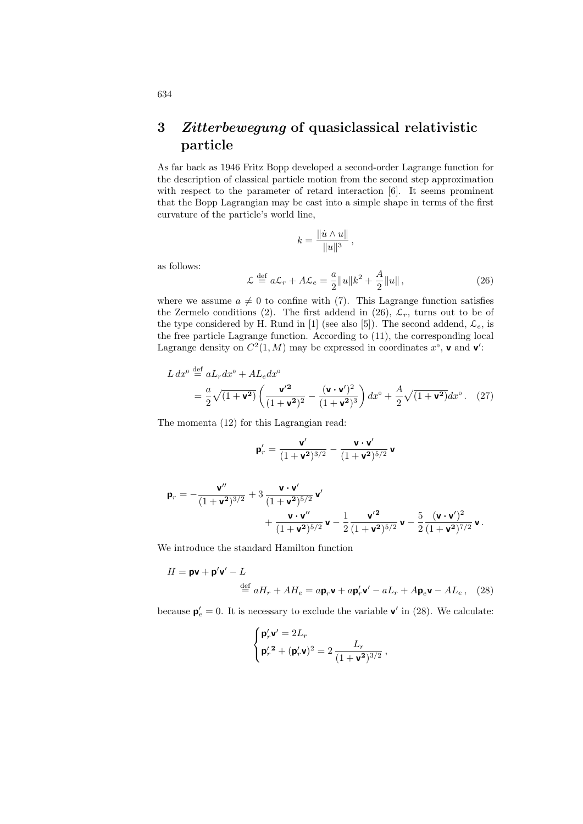## 3 Zitterbewegung of quasiclassical relativistic particle

As far back as 1946 Fritz Bopp developed a second-order Lagrange function for the description of classical particle motion from the second step approximation with respect to the parameter of retard interaction [6]. It seems prominent that the Bopp Lagrangian may be cast into a simple shape in terms of the first curvature of the particle's world line,

$$
k = \frac{\|\dot{u} \wedge u\|}{\|u\|^3},
$$

as follows:

$$
\mathcal{L} \stackrel{\text{def}}{=} a\mathcal{L}_r + A\mathcal{L}_e = \frac{a}{2} ||u||k^2 + \frac{A}{2} ||u|| \,, \tag{26}
$$

where we assume  $a \neq 0$  to confine with (7). This Lagrange function satisfies the Zermelo conditions (2). The first addend in (26),  $\mathcal{L}_r$ , turns out to be of the type considered by H. Rund in [1] (see also [5]). The second addend,  $\mathcal{L}_e$ , is the free particle Lagrange function. According to (11), the corresponding local Lagrange density on  $C^2(1, M)$  may be expressed in coordinates  $x^0$ , **v** and **v**':

$$
L dx^{\text{o}} \stackrel{\text{def}}{=} aL_r dx^{\text{o}} + A L_e dx^{\text{o}}
$$
  
= 
$$
\frac{a}{2} \sqrt{(1 + \mathbf{v}^2)} \left( \frac{\mathbf{v'}^2}{(1 + \mathbf{v}^2)^2} - \frac{(\mathbf{v} \cdot \mathbf{v'})^2}{(1 + \mathbf{v}^2)^3} \right) dx^{\text{o}} + \frac{A}{2} \sqrt{(1 + \mathbf{v}^2)} dx^{\text{o}}.
$$
 (27)

The momenta (12) for this Lagrangian read:

$$
\mathbf{p}'_r = \frac{\mathbf{v}'}{(1+\mathbf{v}^2)^{3/2}} - \frac{\mathbf{v} \cdot \mathbf{v}'}{(1+\mathbf{v}^2)^{5/2}} \, \mathbf{v}
$$

$$
\begin{aligned} \mathbf{p}_r &= -\frac{\mathbf{v}''}{(1+\mathbf{v}^2)^{3/2}} + 3\,\frac{\mathbf{v}\cdot\mathbf{v}'}{(1+\mathbf{v}^2)^{5/2}}\,\mathbf{v}' \\ &\qquad\qquad + \frac{\mathbf{v}\cdot\mathbf{v}''}{(1+\mathbf{v}^2)^{5/2}}\,\mathbf{v} - \frac{1}{2}\frac{\mathbf{v}'^2}{(1+\mathbf{v}^2)^{5/2}}\,\mathbf{v} - \frac{5}{2}\frac{(\mathbf{v}\cdot\mathbf{v}')^2}{(1+\mathbf{v}^2)^{7/2}}\,\mathbf{v} \,. \end{aligned}
$$

We introduce the standard Hamilton function

$$
H = \mathbf{pv} + \mathbf{p}'\mathbf{v}' - L
$$
  

$$
\stackrel{\text{def}}{=} aH_r + AH_e = a\mathbf{p}_r\mathbf{v} + a\mathbf{p}_r'\mathbf{v}' - aL_r + A\mathbf{p}_e\mathbf{v} - AL_e, \quad (28)
$$

because  $\mathbf{p}'_e = 0$ . It is necessary to exclude the variable  $\mathbf{v}'$  in (28). We calculate:

$$
\begin{cases} \mathbf{p}_r' \mathbf{v}' = 2L_r \\ \mathbf{p}_r'{}^2 + (\mathbf{p}_r' \mathbf{v})^2 = 2 \, \frac{L_r}{(1 + \mathbf{v}^2)^{3/2}} \,, \end{cases}
$$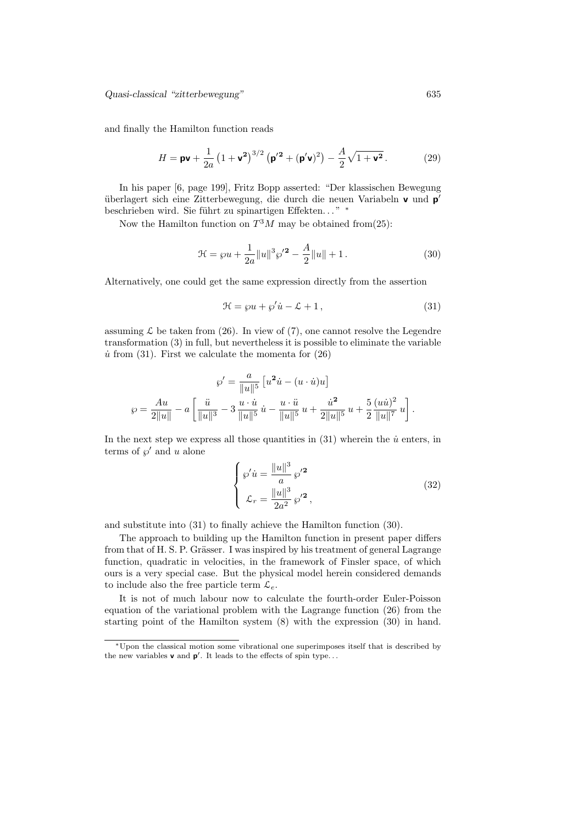and finally the Hamilton function reads

$$
H = \mathbf{pv} + \frac{1}{2a} (1 + \mathbf{v}^2)^{3/2} (\mathbf{p'}^2 + (\mathbf{p'}\mathbf{v})^2) - \frac{A}{2} \sqrt{1 + \mathbf{v}^2}.
$$
 (29)

In his paper [6, page 199], Fritz Bopp asserted: "Der klassischen Bewegung überlagert sich eine Zitterbewegung, die durch die neuen Variabeln v und p' beschrieben wird. Sie führt zu spinartigen Effekten..." \*

Now the Hamilton function on  $T^3M$  may be obtained from  $(25)$ :

$$
\mathcal{H} = \wp u + \frac{1}{2a} ||u||^3 \wp'^2 - \frac{A}{2} ||u|| + 1.
$$
 (30)

Alternatively, one could get the same expression directly from the assertion

$$
\mathcal{H} = \wp u + \wp' \dot{u} - \mathcal{L} + 1,\tag{31}
$$

assuming  $\mathcal L$  be taken from (26). In view of (7), one cannot resolve the Legendre transformation (3) in full, but nevertheless it is possible to eliminate the variable  $\dot{u}$  from (31). First we calculate the momenta for (26)

$$
\wp' = \frac{a}{\|u\|^5} \left[ u^2 \dot{u} - (u \cdot \dot{u})u \right]
$$

$$
\wp = \frac{Au}{2\|u\|} - a \left[ \frac{\ddot{u}}{\|u\|^3} - 3 \frac{u \cdot \dot{u}}{\|u\|^5} \dot{u} - \frac{u \cdot \ddot{u}}{\|u\|^5} u + \frac{\dot{u}^2}{2\|u\|^5} u + \frac{5}{2} \frac{(u\dot{u})^2}{\|u\|^7} u \right].
$$

In the next step we express all those quantities in  $(31)$  wherein the  $\dot{u}$  enters, in terms of  $\wp'$  and u alone

$$
\begin{cases}\n\wp' \dot{u} = \frac{\|u\|^3}{a} \wp'^2 \\
\mathcal{L}_r = \frac{\|u\|^3}{2a^2} \wp'^2,\n\end{cases} (32)
$$

and substitute into (31) to finally achieve the Hamilton function (30).

The approach to building up the Hamilton function in present paper differs from that of H. S. P. Grässer. I was inspired by his treatment of general Lagrange function, quadratic in velocities, in the framework of Finsler space, of which ours is a very special case. But the physical model herein considered demands to include also the free particle term  $\mathcal{L}_e$ .

It is not of much labour now to calculate the fourth-order Euler-Poisson equation of the variational problem with the Lagrange function (26) from the starting point of the Hamilton system (8) with the expression (30) in hand.

<sup>∗</sup>Upon the classical motion some vibrational one superimposes itself that is described by the new variables  $v$  and  $p'$ . It leads to the effects of spin type...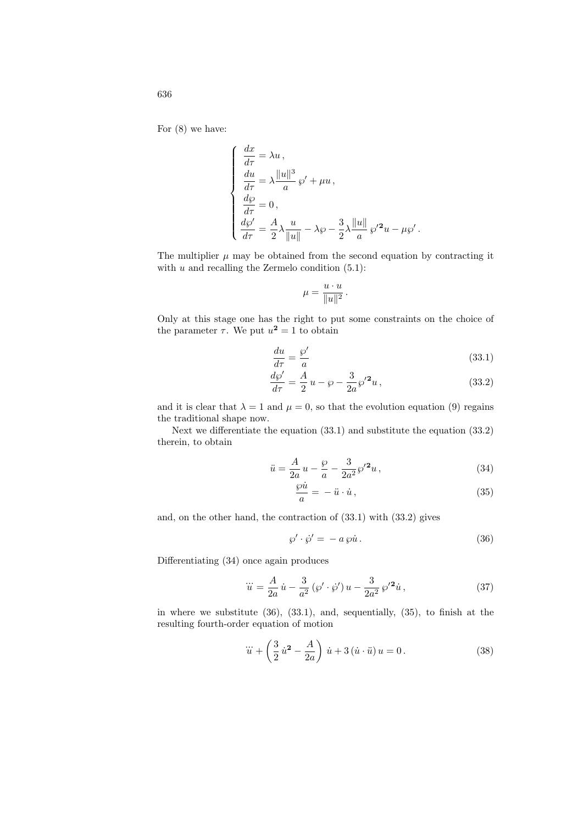For (8) we have:

$$
\begin{cases}\n\frac{dx}{d\tau} = \lambda u, \\
\frac{du}{d\tau} = \lambda \frac{||u||^3}{a} \wp' + \mu u, \\
\frac{d\wp}{d\tau} = 0, \\
\frac{d\wp'}{d\tau} = \frac{A}{2} \lambda \frac{u}{||u||} - \lambda \wp - \frac{3}{2} \lambda \frac{||u||}{a} \wp'^2 u - \mu \wp'.\n\end{cases}
$$

The multiplier  $\mu$  may be obtained from the second equation by contracting it with  $u$  and recalling the Zermelo condition  $(5.1)$ :

$$
\mu = \frac{u \cdot u}{\|u\|^2} \, .
$$

Only at this stage one has the right to put some constraints on the choice of the parameter  $\tau$ . We put  $u^2 = 1$  to obtain

$$
\frac{du}{d\tau} = \frac{\wp'}{a} \tag{33.1}
$$

$$
\frac{d\wp'}{d\tau} = \frac{A}{2}u - \wp - \frac{3}{2a}\wp'^2 u,\tag{33.2}
$$

and it is clear that  $\lambda = 1$  and  $\mu = 0$ , so that the evolution equation (9) regains the traditional shape now.

Next we differentiate the equation (33.1) and substitute the equation (33.2) therein, to obtain

$$
\ddot{u} = \frac{A}{2a}u - \frac{\wp}{a} - \frac{3}{2a^2}\wp'^2 u,
$$
\n(34)

$$
\frac{\wp \dot{u}}{a} = -\ddot{u} \cdot \dot{u},\tag{35}
$$

and, on the other hand, the contraction of (33.1) with (33.2) gives

$$
\wp' \cdot \dot{\wp}' = -a \, \wp \dot{u} \,. \tag{36}
$$

Differentiating (34) once again produces

$$
\dddot{u} = \frac{A}{2a}\dot{u} - \frac{3}{a^2}(\wp' \cdot \dot{\wp}')u - \frac{3}{2a^2}\wp'^2\dot{u},\tag{37}
$$

in where we substitute (36), (33.1), and, sequentially, (35), to finish at the resulting fourth-order equation of motion

$$
\dddot{u} + \left(\frac{3}{2}\dot{u}^2 - \frac{A}{2a}\right)\dot{u} + 3(\dot{u}\cdot\ddot{u})u = 0.
$$
 (38)

636